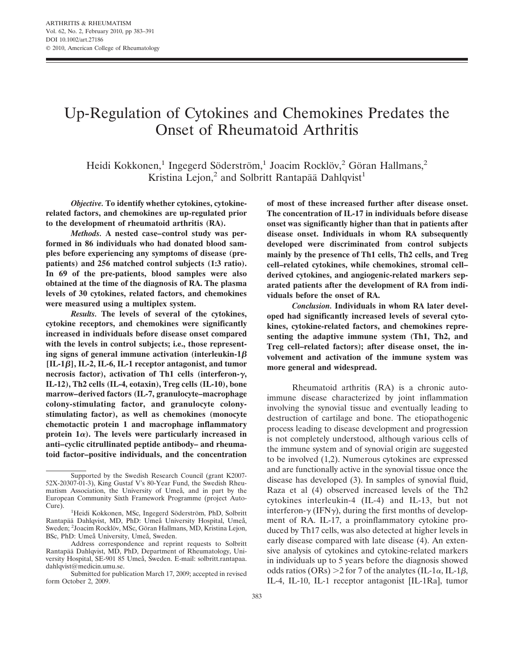# Up-Regulation of Cytokines and Chemokines Predates the Onset of Rheumatoid Arthritis

Heidi Kokkonen,<sup>1</sup> Ingegerd Söderström,<sup>1</sup> Joacim Rocklöv,<sup>2</sup> Göran Hallmans,<sup>2</sup> Kristina Lejon,<sup>2</sup> and Solbritt Rantapää Dahlqvist<sup>1</sup>

*Objective.* **To identify whether cytokines, cytokinerelated factors, and chemokines are up-regulated prior to the development of rheumatoid arthritis (RA).**

*Methods.* **A nested case–control study was performed in 86 individuals who had donated blood samples before experiencing any symptoms of disease (prepatients) and 256 matched control subjects (1:3 ratio). In 69 of the pre-patients, blood samples were also obtained at the time of the diagnosis of RA. The plasma levels of 30 cytokines, related factors, and chemokines were measured using a multiplex system.**

*Results.* **The levels of several of the cytokines, cytokine receptors, and chemokines were significantly increased in individuals before disease onset compared with the levels in control subjects; i.e., those represent**ing signs of general immune activation (interleukin- $1\beta$ **[IL-1], IL-2, IL-6, IL-1 receptor antagonist, and tumor necrosis factor), activation of Th1 cells (interferon-γ, IL-12), Th2 cells (IL-4, eotaxin), Treg cells (IL-10), bone marrow–derived factors (IL-7, granulocyte–macrophage colony-stimulating factor, and granulocyte colonystimulating factor), as well as chemokines (monocyte chemotactic protein 1 and macrophage inflammatory protein 1** $\alpha$ **). The levels were particularly increased in anti–cyclic citrullinated peptide antibody– and rheumatoid factor–positive individuals, and the concentration** **of most of these increased further after disease onset. The concentration of IL-17 in individuals before disease onset was significantly higher than that in patients after disease onset. Individuals in whom RA subsequently developed were discriminated from control subjects mainly by the presence of Th1 cells, Th2 cells, and Treg cell–related cytokines, while chemokines, stromal cell– derived cytokines, and angiogenic-related markers separated patients after the development of RA from individuals before the onset of RA.**

*Conclusion.* **Individuals in whom RA later developed had significantly increased levels of several cytokines, cytokine-related factors, and chemokines representing the adaptive immune system (Th1, Th2, and Treg cell–related factors); after disease onset, the involvement and activation of the immune system was more general and widespread.**

Rheumatoid arthritis (RA) is a chronic autoimmune disease characterized by joint inflammation involving the synovial tissue and eventually leading to destruction of cartilage and bone. The etiopathogenic process leading to disease development and progression is not completely understood, although various cells of the immune system and of synovial origin are suggested to be involved (1,2). Numerous cytokines are expressed and are functionally active in the synovial tissue once the disease has developed (3). In samples of synovial fluid, Raza et al (4) observed increased levels of the Th2 cytokines interleukin-4 (IL-4) and IL-13, but not interferon- $\gamma$  (IFN $\gamma$ ), during the first months of development of RA. IL-17, a proinflammatory cytokine produced by Th17 cells, was also detected at higher levels in early disease compared with late disease (4). An extensive analysis of cytokines and cytokine-related markers in individuals up to 5 years before the diagnosis showed odds ratios (ORs) > 2 for 7 of the analytes (IL-1 $\alpha$ , IL-1 $\beta$ , IL-4, IL-10, IL-1 receptor antagonist [IL-1Ra], tumor

Supported by the Swedish Research Council (grant K2007- 52X-20307-01-3), King Gustaf V's 80-Year Fund, the Swedish Rheumatism Association, the University of Umeå, and in part by the European Community Sixth Framework Programme (project Auto-Cure).

<sup>&</sup>lt;sup>1</sup>Heidi Kokkonen, MSc, Ingegerd Söderström, PhD, Solbritt Rantapää Dahlqvist, MD, PhD: Umeå University Hospital, Umeå, Sweden; <sup>2</sup>Joacim Rocklöv, MSc, Göran Hallmans, MD, Kristina Lejon, BSc, PhD: Umeå University, Umeå, Sweden.

Address correspondence and reprint requests to Solbritt Rantapää Dahlqvist, MD, PhD, Department of Rheumatology, University Hospital, SE-901 85 Umeå, Sweden. E-mail: solbritt.rantapaa. dahlqvist@medicin.umu.se.

Submitted for publication March 17, 2009; accepted in revised form October 2, 2009.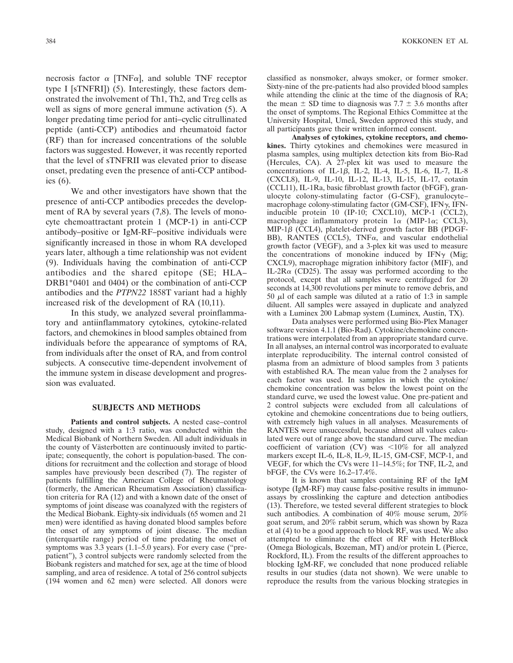necrosis factor  $\alpha$  [TNF $\alpha$ ], and soluble TNF receptor type I [sTNFRI]) (5). Interestingly, these factors demonstrated the involvement of Th1, Th2, and Treg cells as well as signs of more general immune activation (5). A longer predating time period for anti–cyclic citrullinated peptide (anti-CCP) antibodies and rheumatoid factor (RF) than for increased concentrations of the soluble factors was suggested. However, it was recently reported that the level of sTNFRII was elevated prior to disease onset, predating even the presence of anti-CCP antibodies (6).

We and other investigators have shown that the presence of anti-CCP antibodies precedes the development of RA by several years (7,8). The levels of monocyte chemoattractant protein 1 (MCP-1) in anti-CCP antibody–positive or IgM-RF–positive individuals were significantly increased in those in whom RA developed years later, although a time relationship was not evident (9). Individuals having the combination of anti-CCP antibodies and the shared epitope (SE; HLA– DRB1\*0401 and 0404) or the combination of anti-CCP antibodies and the *PTPN22* 1858T variant had a highly increased risk of the development of RA (10,11).

In this study, we analyzed several proinflammatory and antiinflammatory cytokines, cytokine-related factors, and chemokines in blood samples obtained from individuals before the appearance of symptoms of RA, from individuals after the onset of RA, and from control subjects. A consecutive time-dependent involvement of the immune system in disease development and progression was evaluated.

### **SUBJECTS AND METHODS**

**Patients and control subjects.** A nested case–control study, designed with a 1:3 ratio, was conducted within the Medical Biobank of Northern Sweden. All adult individuals in the county of Västerbotten are continuously invited to participate; consequently, the cohort is population-based. The conditions for recruitment and the collection and storage of blood samples have previously been described (7). The register of patients fulfilling the American College of Rheumatology (formerly, the American Rheumatism Association) classification criteria for RA (12) and with a known date of the onset of symptoms of joint disease was coanalyzed with the registers of the Medical Biobank. Eighty-six individuals (65 women and 21 men) were identified as having donated blood samples before the onset of any symptoms of joint disease. The median (interquartile range) period of time predating the onset of symptoms was 3.3 years (1.1–5.0 years). For every case ("prepatient"), 3 control subjects were randomly selected from the Biobank registers and matched for sex, age at the time of blood sampling, and area of residence. A total of 256 control subjects (194 women and 62 men) were selected. All donors were classified as nonsmoker, always smoker, or former smoker. Sixty-nine of the pre-patients had also provided blood samples while attending the clinic at the time of the diagnosis of RA; the mean  $\pm$  SD time to diagnosis was 7.7  $\pm$  3.6 months after the onset of symptoms. The Regional Ethics Committee at the University Hospital, Umeå, Sweden approved this study, and all participants gave their written informed consent.

**Analyses of cytokines, cytokine receptors, and chemokines.** Thirty cytokines and chemokines were measured in plasma samples, using multiplex detection kits from Bio-Rad (Hercules, CA). A 27-plex kit was used to measure the concentrations of IL-1 $\beta$ , IL-2, IL-4, IL-5, IL-6, IL-7, IL-8 (CXCL8), IL-9, IL-10, IL-12, IL-13, IL-15, IL-17, eotaxin (CCL11), IL-1Ra, basic fibroblast growth factor (bFGF), granulocyte colony-stimulating factor (G-CSF), granulocyte– macrophage colony-stimulating factor (GM-CSF), IFN $\gamma$ , IFNinducible protein 10 (IP-10; CXCL10), MCP-1 (CCL2), macrophage inflammatory protein  $1\alpha$  (MIP-1 $\alpha$ ; CCL3), MIP-1 $\beta$  (CCL4), platelet-derived growth factor BB (PDGF-BB), RANTES (CCL5), TNF $\alpha$ , and vascular endothelial growth factor (VEGF), and a 3-plex kit was used to measure the concentrations of monokine induced by IFN $\gamma$  (Mig; CXCL9), macrophage migration inhibitory factor (MIF), and IL-2R $\alpha$  (CD25). The assay was performed according to the protocol, except that all samples were centrifuged for 20 seconds at 14,300 revolutions per minute to remove debris, and 50  $\mu$ l of each sample was diluted at a ratio of 1:3 in sample diluent. All samples were assayed in duplicate and analyzed with a Luminex 200 Labmap system (Luminex, Austin, TX).

Data analyses were performed using Bio-Plex Manager software version 4.1.1 (Bio-Rad). Cytokine/chemokine concentrations were interpolated from an appropriate standard curve. In all analyses, an internal control was incorporated to evaluate interplate reproducibility. The internal control consisted of plasma from an admixture of blood samples from 3 patients with established RA. The mean value from the 2 analyses for each factor was used. In samples in which the cytokine/ chemokine concentration was below the lowest point on the standard curve, we used the lowest value. One pre-patient and 2 control subjects were excluded from all calculations of cytokine and chemokine concentrations due to being outliers, with extremely high values in all analyses. Measurements of RANTES were unsuccessful, because almost all values calculated were out of range above the standard curve. The median coefficient of variation (CV) was  $\langle 10\%$  for all analyzed markers except IL-6, IL-8, IL-9, IL-15, GM-CSF, MCP-1, and VEGF, for which the CVs were 11–14.5%; for TNF, IL-2, and bFGF, the CVs were 16.2–17.4%.

It is known that samples containing RF of the IgM isotype (IgM-RF) may cause false-positive results in immunoassays by crosslinking the capture and detection antibodies (13). Therefore, we tested several different strategies to block such antibodies. A combination of 40% mouse serum, 20% goat serum, and 20% rabbit serum, which was shown by Raza et al (4) to be a good approach to block RF, was used. We also attempted to eliminate the effect of RF with HeterBlock (Omega Biologicals, Bozeman, MT) and/or protein L (Pierce, Rockford, IL). From the results of the different approaches to blocking IgM-RF, we concluded that none produced reliable results in our studies (data not shown). We were unable to reproduce the results from the various blocking strategies in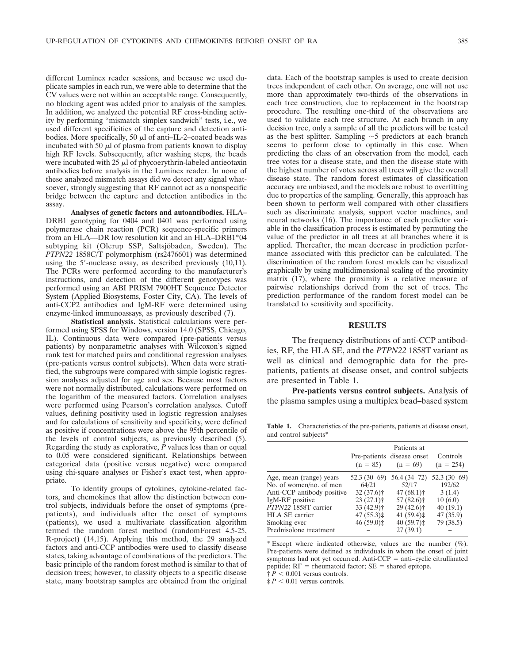different Luminex reader sessions, and because we used duplicate samples in each run, we were able to determine that the CV values were not within an acceptable range. Consequently, no blocking agent was added prior to analysis of the samples. In addition, we analyzed the potential RF cross-binding activity by performing "mismatch simplex sandwich" tests, i.e., we used different specificities of the capture and detection antibodies. More specifically, 50  $\mu$ l of anti–IL-2–coated beads was incubated with 50  $\mu$ l of plasma from patients known to display high RF levels. Subsequently, after washing steps, the beads were incubated with  $25 \mu$  of phycoerythrin-labeled antieotaxin antibodies before analysis in the Luminex reader. In none of these analyzed mismatch assays did we detect any signal whatsoever, strongly suggesting that RF cannot act as a nonspecific bridge between the capture and detection antibodies in the assay.

**Analyses of genetic factors and autoantibodies.** HLA– DRB1 genotyping for 0404 and 0401 was performed using polymerase chain reaction (PCR) sequence-specific primers from an HLA—DR low resolution kit and an HLA–DRB1\*04 subtyping kit (Olerup SSP, Saltsjöbaden, Sweden). The *PTPN22* 1858C/T polymorphism (rs2476601) was determined using the  $5'$ -nuclease assay, as described previously  $(10,11)$ . The PCRs were performed according to the manufacturer's instructions, and detection of the different genotypes was performed using an ABI PRISM 7900HT Sequence Detector System (Applied Biosystems, Foster City, CA). The levels of anti-CCP2 antibodies and IgM-RF were determined using enzyme-linked immunoassays, as previously described (7).

**Statistical analysis.** Statistical calculations were performed using SPSS for Windows, version 14.0 (SPSS, Chicago, IL). Continuous data were compared (pre-patients versus patients) by nonparametric analyses with Wilcoxon's signed rank test for matched pairs and conditional regression analyses (pre-patients versus control subjects). When data were stratified, the subgroups were compared with simple logistic regression analyses adjusted for age and sex. Because most factors were not normally distributed, calculations were performed on the logarithm of the measured factors. Correlation analyses were performed using Pearson's correlation analyses. Cutoff values, defining positivity used in logistic regression analyses and for calculations of sensitivity and specificity, were defined as positive if concentrations were above the 95th percentile of the levels of control subjects, as previously described (5). Regarding the study as explorative,  $\hat{P}$  values less than or equal to 0.05 were considered significant. Relationships between categorical data (positive versus negative) were compared using chi-square analyses or Fisher's exact test, when appropriate.

To identify groups of cytokines, cytokine-related factors, and chemokines that allow the distinction between control subjects, individuals before the onset of symptoms (prepatients), and individuals after the onset of symptoms (patients), we used a multivariate classification algorithm termed the random forest method (randomForest 4.5-25, R-project) (14,15). Applying this method, the 29 analyzed factors and anti-CCP antibodies were used to classify disease states, taking advantage of combinations of the predictors. The basic principle of the random forest method is similar to that of decision trees; however, to classify objects to a specific disease state, many bootstrap samples are obtained from the original data. Each of the bootstrap samples is used to create decision trees independent of each other. On average, one will not use more than approximately two-thirds of the observations in each tree construction, due to replacement in the bootstrap procedure. The resulting one-third of the observations are used to validate each tree structure. At each branch in any decision tree, only a sample of all the predictors will be tested as the best splitter. Sampling  $\sim$  5 predictors at each branch seems to perform close to optimally in this case. When predicting the class of an observation from the model, each tree votes for a disease state, and then the disease state with the highest number of votes across all trees will give the overall disease state. The random forest estimates of classification accuracy are unbiased, and the models are robust to overfitting due to properties of the sampling. Generally, this approach has been shown to perform well compared with other classifiers such as discriminate analysis, support vector machines, and neural networks (16). The importance of each predictor variable in the classification process is estimated by permuting the value of the predictor in all trees at all branches where it is applied. Thereafter, the mean decrease in prediction performance associated with this predictor can be calculated. The discrimination of the random forest models can be visualized graphically by using multidimensional scaling of the proximity matrix (17), where the proximity is a relative measure of pairwise relationships derived from the set of trees. The prediction performance of the random forest model can be translated to sensitivity and specificity.

## **RESULTS**

The frequency distributions of anti-CCP antibodies, RF, the HLA SE, and the *PTPN22* 1858T variant as well as clinical and demographic data for the prepatients, patients at disease onset, and control subjects are presented in Table 1.

**Pre-patients versus control subjects.** Analysis of the plasma samples using a multiplex bead–based system

**Table 1.** Characteristics of the pre-patients, patients at disease onset, and control subjects\*

|                            | $(n = 85)$    | Patients at<br>Pre-patients disease onset<br>$(n = 69)$ | Controls<br>$(n = 254)$ |
|----------------------------|---------------|---------------------------------------------------------|-------------------------|
| Age, mean (range) years    | $52.3(30-69)$ | 56.4 (34–72)                                            | $52.3(30-69)$           |
| No. of women/no. of men    | 64/21         | 52/17                                                   | 192/62                  |
| Anti-CCP antibody positive | $32(37.6)$ †  | $47(68.1)$ †                                            | 3(1.4)                  |
| IgM-RF positive            | $23(27.1)$ †  | $57(82.6)$ †                                            | 10(6.0)                 |
| PTPN22 1858T carrier       | $33(42.9)$ †  | $29(42.6)$ †                                            | 40(19.1)                |
| <b>HLA SE</b> carrier      | $47(55.3)$ ‡  | 41(59.4)                                                | 47(35.9)                |
| Smoking ever               | 46(59.0)      | 40(59.7)                                                | 79 (38.5)               |
| Prednisolone treatment     |               | 27(39.1)                                                |                         |

\* Except where indicated otherwise, values are the number  $(\%)$ . Pre-patients were defined as individuals in whom the onset of joint symptoms had not yet occurred. Anti-CCP  $=$  anti-cyclic citrullinated peptide;  $RF =$  rheumatoid factor;  $SE =$  shared epitope.

 $\frac{1}{T}$   $\dot{P}$  < 0.001 versus controls.

 $\ddagger P < 0.01$  versus controls.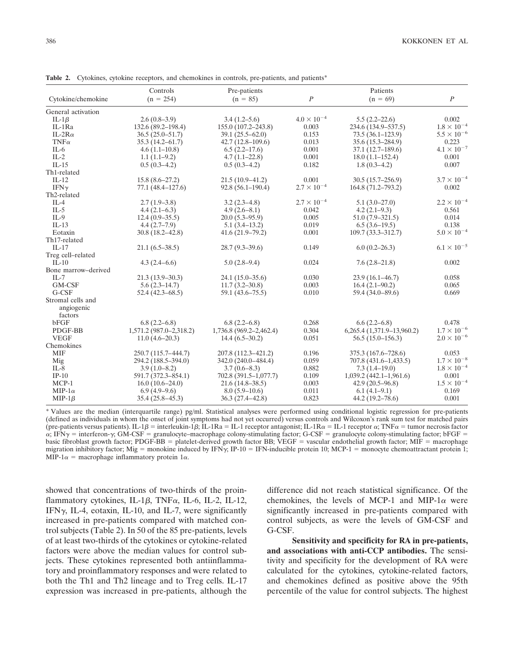|                     | Controls                | Pre-patients            |                      | Patients                    |                      |  |
|---------------------|-------------------------|-------------------------|----------------------|-----------------------------|----------------------|--|
| Cytokine/chemokine  | $(n = 254)$             | $(n = 85)$              | $\boldsymbol{P}$     | $(n = 69)$                  | $\overline{P}$       |  |
| General activation  |                         |                         |                      |                             |                      |  |
| IL-1 $\beta$        | $2.6(0.8-3.9)$          | $3.4(1.2-5.6)$          | $4.0 \times 10^{-4}$ | $5.5(2.2 - 22.6)$           | 0.002                |  |
| IL-1Ra              | 132.6 (89.2–198.4)      | $155.0(107.2 - 243.8)$  | 0.003                | 234.6 (134.9–537.5)         | $1.8 \times 10^{-4}$ |  |
| IL-2 $R\alpha$      | $36.5(25.0-51.7)$       | $39.1(25.5 - 62.0)$     | 0.153                | $73.5(36.1 - 123.9)$        | $5.5 \times 10^{-6}$ |  |
| $TNF\alpha$         | $35.3(14.2 - 61.7)$     | $42.7(12.8-109.6)$      | 0.013                | $35.6(15.3 - 284.9)$        | 0.223                |  |
| $IL-6$              | $4.6(1.1-10.8)$         | $6.5(2.2-17.6)$         | 0.001                | $37.1(12.7-189.6)$          | $4.1\times10^{-7}$   |  |
| $IL-2$              | $1.1(1.1-9.2)$          | $4.7(1.1-22.8)$         | 0.001                | $18.0(1.1-152.4)$           | 0.001                |  |
| $IL-15$             | $0.5(0.3-4.2)$          | $0.5(0.3-4.2)$          | 0.182                | $1.8(0.3-4.2)$              | 0.007                |  |
| Th1-related         |                         |                         |                      |                             |                      |  |
| $IL-12$             | $15.8(8.6-27.2)$        | $21.5(10.9-41.2)$       | 0.001                | $30.5(15.7-256.9)$          | $3.7\times10^{-4}$   |  |
| IFN $\gamma$        | 77.1 (48.4–127.6)       | $92.8(56.1 - 190.4)$    | $2.7 \times 10^{-4}$ | 164.8 (71.2–793.2)          | 0.002                |  |
| Th2-related         |                         |                         |                      |                             |                      |  |
| $IL-4$              | $2.7(1.9-3.8)$          | $3.2(2.3-4.8)$          | $2.7 \times 10^{-4}$ | $5.1(3.0-27.0)$             | $2.2\times10^{-4}$   |  |
| $IL-5$              | $4.4(2.1-6.3)$          | $4.9(2.6-8.1)$          | 0.042                | $4.2(2.1-9.3)$              | 0.561                |  |
| $IL-9$              | $12.4(0.9-35.5)$        | $20.0(5.3-95.9)$        | 0.005                | $51.0(7.9 - 321.5)$         | 0.014                |  |
| $IL-13$             | $4.4(2.7-7.9)$          | $5.1(3.4-13.2)$         | 0.019                | $6.5(3.6-19.5)$             | 0.138                |  |
| Eotaxin             | $30.8(18.2 - 42.8)$     | $41.6(21.9 - 79.2)$     | 0.001                | $109.7(33.3 - 312.7)$       | $5.0\times10^{-4}$   |  |
| Th17-related        |                         |                         |                      |                             |                      |  |
| $IL-17$             | $21.1(6.5-38.5)$        | $28.7(9.3-39.6)$        | 0.149                | $6.0(0.2-26.3)$             | $6.1 \times 10^{-5}$ |  |
| Treg cell-related   |                         |                         |                      |                             |                      |  |
| $IL-10$             | $4.3(2.4-6.6)$          | $5.0(2.8-9.4)$          | 0.024                | $7.6(2.8-21.8)$             | 0.002                |  |
| Bone marrow-derived |                         |                         |                      |                             |                      |  |
| IL-7                | $21.3(13.9-30.3)$       | $24.1(15.0-35.6)$       | 0.030                | $23.9(16.1 - 46.7)$         | 0.058                |  |
| GM-CSF              | $5.6(2.3-14.7)$         | $11.7(3.2 - 30.8)$      | 0.003                | $16.4(2.1-90.2)$            | 0.065                |  |
| G-CSF               | $52.4(42.3 - 68.5)$     | 59.1 (43.6–75.5)        | 0.010                | $59.4(34.0 - 89.6)$         | 0.669                |  |
| Stromal cells and   |                         |                         |                      |                             |                      |  |
| angiogenic          |                         |                         |                      |                             |                      |  |
| factors             |                         |                         |                      |                             |                      |  |
| bFGF                | $6.8(2.2-6.8)$          | $6.8(2.2-6.8)$          | 0.268                | $6.6(2.2-6.8)$              | 0.478                |  |
| PDGF-BB             | 1,571.2 (987.0–2,318.2) | 1,736.8 (969.2–2,462.4) | 0.304                | $6,265.4(1,371.9-13,960.2)$ | $1.7\times10^{-6}$   |  |
| <b>VEGF</b>         | $11.0(4.6-20.3)$        | $14.4(6.5-30.2)$        | 0.051                | $56.5(15.0-156.3)$          | $2.0\times10^{-6}$   |  |
| Chemokines          |                         |                         |                      |                             |                      |  |
| <b>MIF</b>          | 250.7 (115.7–444.7)     | 207.8 (112.3–421.2)     | 0.196                | 375.3 (167.6–728.6)         | 0.053                |  |
| Mig                 | 294.2 (188.5–394.0)     | 342.0 (240.0–484.4)     | 0.059                | 707.8 (431.6–1,433.5)       | $1.7\times10^{-8}$   |  |
| $IL-8$              | $3.9(1.0-8.2)$          | $3.7(0.6-8.3)$          | 0.882                | 7.3(1.4–19.0)               | $1.8 \times 10^{-4}$ |  |
| $IP-10$             | 591.7 (372.3–854.1)     | 702.8 (391.5–1,077.7)   | 0.109                | $1,039.2$ (442.1–1,961.6)   | 0.001                |  |
| $MCP-1$             | $16.0(10.6-24.0)$       | $21.6(14.8-38.5)$       | 0.003                | $42.9(20.5 - 96.8)$         | $1.5 \times 10^{-4}$ |  |
| MIP-1 $\alpha$      | $6.9(4.9-9.6)$          | $8.0(5.9-10.6)$         | 0.011                | $6.1(4.1-9.1)$              | 0.169                |  |
| $MIP-1\beta$        | $35.4(25.8-45.3)$       | $36.3(27.4-42.8)$       | 0.823                | 44.2 (19.2-78.6)            | 0.001                |  |
|                     |                         |                         |                      |                             |                      |  |

Table 2. Cytokines, cytokine receptors, and chemokines in controls, pre-patients, and patients<sup>\*</sup>

\* Values are the median (interquartile range) pg/ml. Statistical analyses were performed using conditional logistic regression for pre-patients (defined as individuals in whom the onset of joint symptoms had not yet occurred) versus controls and Wilcoxon's rank sum test for matched pairs (pre-patients versus patients). IL-1 $\beta$  = interleukin-1 $\beta$ ; IL-1Ra = IL-1 receptor antagonist; IL-1R $\alpha$  = IL-1 receptor  $\alpha$ ; TNF $\alpha$  = tumor necrosis factor  $\alpha$ ; IFN $\gamma$  = interferon- $\gamma$ ; GM-CSF = granulocyte–macrophage colony-stimulating factor; G-CSF = granulocyte colony-stimulating factor; bFGF = basic fibroblast growth factor; PDGF-BB = platelet-derived growth factor BB; VEGF = vascular endothelial growth factor; MIF = macrophage migration inhibitory factor; Mig = monokine induced by IFN $\gamma$ ; IP-10 = IFN-inducible protein 10; MCP-1 = monocyte chemoattractant protein 1; MIP-1 $\alpha$  = macrophage inflammatory protein 1 $\alpha$ .

showed that concentrations of two-thirds of the proinflammatory cytokines, IL-1 $\beta$ , TNF $\alpha$ , IL-6, IL-2, IL-12, IFN $\gamma$ , IL-4, eotaxin, IL-10, and IL-7, were significantly increased in pre-patients compared with matched control subjects (Table 2). In 50 of the 85 pre-patients, levels of at least two-thirds of the cytokines or cytokine-related factors were above the median values for control subjects. These cytokines represented both antiinflammatory and proinflammatory responses and were related to both the Th1 and Th2 lineage and to Treg cells. IL-17 expression was increased in pre-patients, although the difference did not reach statistical significance. Of the chemokines, the levels of MCP-1 and MIP-1 $\alpha$  were significantly increased in pre-patients compared with control subjects, as were the levels of GM-CSF and G-CSF.

**Sensitivity and specificity for RA in pre-patients, and associations with anti-CCP antibodies.** The sensitivity and specificity for the development of RA were calculated for the cytokines, cytokine-related factors, and chemokines defined as positive above the 95th percentile of the value for control subjects. The highest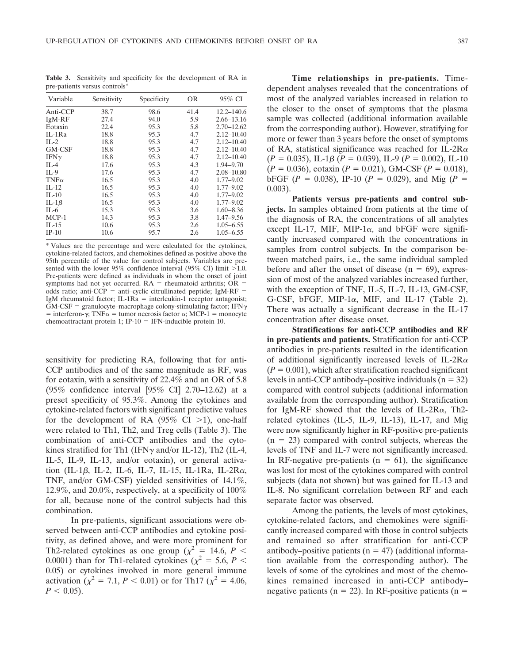**Table 3.** Sensitivity and specificity for the development of RA in pre-patients versus controls\*

| Variable       | Sensitivity | Specificity | OR   | 95% CI         |
|----------------|-------------|-------------|------|----------------|
| Anti-CCP       | 38.7        | 98.6        | 41.4 | $12.2 - 140.6$ |
| IgM-RF         | 27.4        | 94.0        | 5.9  | 2.66–13.16     |
| Eotaxin        | 22.4        | 95.3        | 5.8  | $2.70 - 12.62$ |
| IL-1Ra         | 18.8        | 95.3        | 4.7  | $2.12 - 10.40$ |
| $II - 2$       | 18.8        | 95.3        | 4.7  | $2.12 - 10.40$ |
| GM-CSF         | 18.8        | 95.3        | 4.7  | $2.12 - 10.40$ |
| IFN $\gamma$   | 18.8        | 95.3        | 4.7  | $2.12 - 10.40$ |
| $IL-4$         | 17.6        | 95.3        | 4.3  | $1.94 - 9.70$  |
| $IL-9$         | 17.6        | 95.3        | 4.7  | $2.08 - 10.80$ |
| $TNF_{\alpha}$ | 16.5        | 95.3        | 4.0  | $1.77 - 9.02$  |
| $IL-12$        | 16.5        | 95.3        | 4.0  | $1.77 - 9.02$  |
| $IL-10$        | 16.5        | 95.3        | 4.0  | $1.77 - 9.02$  |
| IL-1 $\beta$   | 16.5        | 95.3        | 4.0  | $1.77 - 9.02$  |
| $II - 6$       | 15.3        | 95.3        | 3.6  | $1.60 - 8.36$  |
| $MCP-1$        | 14.3        | 95.3        | 3.8  | $1.47 - 9.56$  |
| $II - 15$      | 10.6        | 95.3        | 2.6  | $1.05 - 6.55$  |
| $IP-10$        | 10.6        | 95.7        | 2.6  | $1.05 - 6.55$  |

\* Values are the percentage and were calculated for the cytokines, cytokine-related factors, and chemokines defined as positive above the 95th percentile of the value for control subjects. Variables are presented with the lower 95% confidence interval (95% CI) limit  $>1.0$ . Pre-patients were defined as individuals in whom the onset of joint symptoms had not yet occurred.  $RA$  = rheumatoid arthritis;  $OR$  = odds ratio; anti-CCP = anti-cyclic citrullinated peptide;  $IgM-RF =$ IgM rheumatoid factor; IL-1Ra = interleukin-1 receptor antagonist;  $GM-CSF = granulocyte-macrophage colony-stimulating factor; IFN<sub>\gamma</sub>$ = interferon- $\gamma$ ; TNF $\alpha$  = tumor necrosis factor  $\alpha$ ; MCP-1 = monocyte chemoattractant protein 1; IP-10 = IFN-inducible protein 10.

sensitivity for predicting RA, following that for anti-CCP antibodies and of the same magnitude as RF, was for eotaxin, with a sensitivity of 22.4% and an OR of 5.8 (95% confidence interval [95% CI] 2.70–12.62) at a preset specificity of 95.3%. Among the cytokines and cytokine-related factors with significant predictive values for the development of RA  $(95\% \text{ CI} > 1)$ , one-half were related to Th1, Th2, and Treg cells (Table 3). The combination of anti-CCP antibodies and the cytokines stratified for Th1 (IFN $\gamma$  and/or IL-12), Th2 (IL-4, IL-5, IL-9, IL-13, and/or eotaxin), or general activation (IL-1 $\beta$ , IL-2, IL-6, IL-7, IL-15, IL-1Ra, IL-2R $\alpha$ , TNF, and/or GM-CSF) yielded sensitivities of 14.1%, 12.9%, and 20.0%, respectively, at a specificity of  $100\%$ for all, because none of the control subjects had this combination.

In pre-patients, significant associations were observed between anti-CCP antibodies and cytokine positivity, as defined above, and were more prominent for Th2-related cytokines as one group ( $\chi^2$  = 14.6, *P* < 0.0001) than for Th1-related cytokines ( $\chi^2$  = 5.6, *P* < 0.05) or cytokines involved in more general immune activation ( $\chi^2$  = 7.1, *P* < 0.01) or for Th17 ( $\chi^2$  = 4.06,  $P < 0.05$ ).

**Time relationships in pre-patients.** Timedependent analyses revealed that the concentrations of most of the analyzed variables increased in relation to the closer to the onset of symptoms that the plasma sample was collected (additional information available from the corresponding author). However, stratifying for more or fewer than 3 years before the onset of symptoms of RA, statistical significance was reached for IL-2R $\alpha$  $(P = 0.035)$ , IL-1 $\beta$  ( $P = 0.039$ ), IL-9 ( $P = 0.002$ ), IL-10  $(P = 0.036)$ , eotaxin  $(P = 0.021)$ , GM-CSF  $(P = 0.018)$ ,  $bFGF (P = 0.038)$ , IP-10 ( $P = 0.029$ ), and Mig ( $P =$ 0.003).

**Patients versus pre-patients and control subjects.** In samples obtained from patients at the time of the diagnosis of RA, the concentrations of all analytes except IL-17, MIF, MIP-1 $\alpha$ , and bFGF were significantly increased compared with the concentrations in samples from control subjects. In the comparison between matched pairs, i.e., the same individual sampled before and after the onset of disease  $(n = 69)$ , expression of most of the analyzed variables increased further, with the exception of TNF, IL-5, IL-7, IL-13, GM-CSF, G-CSF, bFGF, MIP-1 $\alpha$ , MIF, and IL-17 (Table 2). There was actually a significant decrease in the IL-17 concentration after disease onset.

**Stratifications for anti-CCP antibodies and RF in pre-patients and patients.** Stratification for anti-CCP antibodies in pre-patients resulted in the identification of additional significantly increased levels of IL-2R $\alpha$  $(P = 0.001)$ , which after stratification reached significant levels in anti-CCP antibody–positive individuals  $(n = 32)$ compared with control subjects (additional information available from the corresponding author). Stratification for IgM-RF showed that the levels of IL-2R $\alpha$ , Th2related cytokines (IL-5, IL-9, IL-13), IL-17, and Mig were now significantly higher in RF-positive pre-patients  $(n = 23)$  compared with control subjects, whereas the levels of TNF and IL-7 were not significantly increased. In RF-negative pre-patients ( $n = 61$ ), the significance was lost for most of the cytokines compared with control subjects (data not shown) but was gained for IL-13 and IL-8. No significant correlation between RF and each separate factor was observed.

Among the patients, the levels of most cytokines, cytokine-related factors, and chemokines were significantly increased compared with those in control subjects and remained so after stratification for anti-CCP antibody–positive patients ( $n = 47$ ) (additional information available from the corresponding author). The levels of some of the cytokines and most of the chemokines remained increased in anti-CCP antibody– negative patients ( $n = 22$ ). In RF-positive patients ( $n =$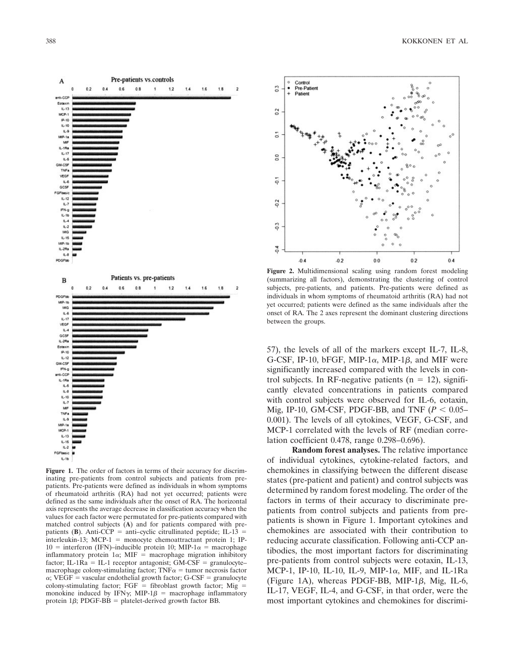

**Figure 1.** The order of factors in terms of their accuracy for discriminating pre-patients from control subjects and patients from prepatients. Pre-patients were defined as individuals in whom symptoms of rheumatoid arthritis (RA) had not yet occurred; patients were defined as the same individuals after the onset of RA. The horizontal axis represents the average decrease in classification accuracy when the values for each factor were permutated for pre-patients compared with matched control subjects (**A**) and for patients compared with prepatients (**B**). Anti-CCP = anti-cyclic citrullinated peptide; IL-13 =  $interleukin-13$ ; MCP-1 = monocyte chemoattractant protein 1; IP- $10 =$  interferon (IFN)–inducible protein 10; MIP-1 $\alpha =$  macrophage inflammatory protein  $1\alpha$ ; MIF = macrophage migration inhibitory factor; IL-1Ra = IL-1 receptor antagonist;  $GM-CSF = granulocyte$ macrophage colony-stimulating factor;  $TNF\alpha =$  tumor necrosis factor  $\alpha$ ; VEGF = vascular endothelial growth factor; G-CSF = granulocyte colony-stimulating factor;  $FGF =$  fibroblast growth factor; Mig = monokine induced by IFN $\gamma$ ; MIP-1 $\beta$  = macrophage inflammatory protein 1 $\beta$ ; PDGF-BB = platelet-derived growth factor BB.



**Figure 2.** Multidimensional scaling using random forest modeling (summarizing all factors), demonstrating the clustering of control subjects, pre-patients, and patients. Pre-patients were defined as individuals in whom symptoms of rheumatoid arthritis (RA) had not yet occurred; patients were defined as the same individuals after the onset of RA. The 2 axes represent the dominant clustering directions between the groups.

57), the levels of all of the markers except IL-7, IL-8, G-CSF, IP-10, bFGF, MIP-1 $\alpha$ , MIP-1 $\beta$ , and MIF were significantly increased compared with the levels in control subjects. In RF-negative patients  $(n = 12)$ , significantly elevated concentrations in patients compared with control subjects were observed for IL-6, eotaxin, Mig, IP-10, GM-CSF, PDGF-BB, and TNF  $(P < 0.05-$ 0.001). The levels of all cytokines, VEGF, G-CSF, and MCP-1 correlated with the levels of RF (median correlation coefficient 0.478, range 0.298–0.696).

**Random forest analyses.** The relative importance of individual cytokines, cytokine-related factors, and chemokines in classifying between the different disease states (pre-patient and patient) and control subjects was determined by random forest modeling. The order of the factors in terms of their accuracy to discriminate prepatients from control subjects and patients from prepatients is shown in Figure 1. Important cytokines and chemokines are associated with their contribution to reducing accurate classification. Following anti-CCP antibodies, the most important factors for discriminating pre-patients from control subjects were eotaxin, IL-13, MCP-1, IP-10, IL-10, IL-9, MIP-1 $\alpha$ , MIF, and IL-1Ra (Figure 1A), whereas PDGF-BB, MIP-1 $\beta$ , Mig, IL-6, IL-17, VEGF, IL-4, and G-CSF, in that order, were the most important cytokines and chemokines for discrimi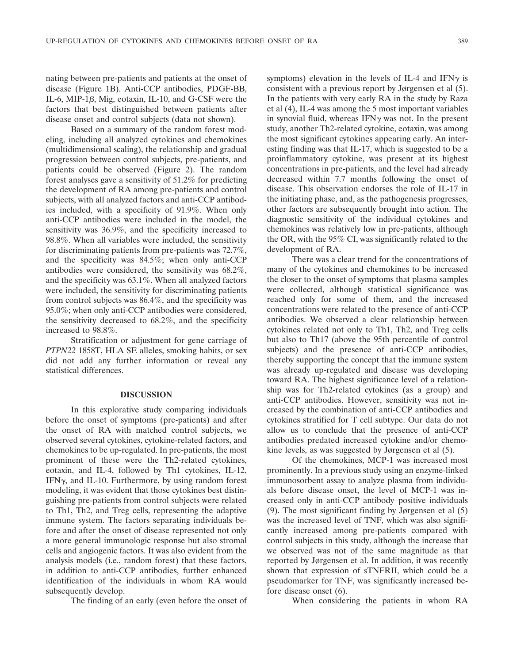nating between pre-patients and patients at the onset of disease (Figure 1B). Anti-CCP antibodies, PDGF-BB, IL-6, MIP-1 $\beta$ , Mig, eotaxin, IL-10, and G-CSF were the factors that best distinguished between patients after disease onset and control subjects (data not shown).

Based on a summary of the random forest modeling, including all analyzed cytokines and chemokines (multidimensional scaling), the relationship and gradual progression between control subjects, pre-patients, and patients could be observed (Figure 2). The random forest analyses gave a sensitivity of 51.2% for predicting the development of RA among pre-patients and control subjects, with all analyzed factors and anti-CCP antibodies included, with a specificity of 91.9%. When only anti-CCP antibodies were included in the model, the sensitivity was 36.9%, and the specificity increased to 98.8%. When all variables were included, the sensitivity for discriminating patients from pre-patients was 72.7%, and the specificity was 84.5%; when only anti-CCP antibodies were considered, the sensitivity was 68.2%, and the specificity was 63.1%. When all analyzed factors were included, the sensitivity for discriminating patients from control subjects was 86.4%, and the specificity was 95.0%; when only anti-CCP antibodies were considered, the sensitivity decreased to 68.2%, and the specificity increased to 98.8%.

Stratification or adjustment for gene carriage of *PTPN22* 1858T, HLA SE alleles, smoking habits, or sex did not add any further information or reveal any statistical differences.

### **DISCUSSION**

In this explorative study comparing individuals before the onset of symptoms (pre-patients) and after the onset of RA with matched control subjects, we observed several cytokines, cytokine-related factors, and chemokines to be up-regulated. In pre-patients, the most prominent of these were the Th2-related cytokines, eotaxin, and IL-4, followed by Th1 cytokines, IL-12, IFN $\gamma$ , and IL-10. Furthermore, by using random forest modeling, it was evident that those cytokines best distinguishing pre-patients from control subjects were related to Th1, Th2, and Treg cells, representing the adaptive immune system. The factors separating individuals before and after the onset of disease represented not only a more general immunologic response but also stromal cells and angiogenic factors. It was also evident from the analysis models (i.e., random forest) that these factors, in addition to anti-CCP antibodies, further enhanced identification of the individuals in whom RA would subsequently develop.

The finding of an early (even before the onset of

symptoms) elevation in the levels of IL-4 and IFN $\gamma$  is consistent with a previous report by Jørgensen et al (5). In the patients with very early RA in the study by Raza et al (4), IL-4 was among the 5 most important variables in synovial fluid, whereas IFN $\gamma$  was not. In the present study, another Th2-related cytokine, eotaxin, was among the most significant cytokines appearing early. An interesting finding was that IL-17, which is suggested to be a proinflammatory cytokine, was present at its highest concentrations in pre-patients, and the level had already decreased within 7.7 months following the onset of disease. This observation endorses the role of IL-17 in the initiating phase, and, as the pathogenesis progresses, other factors are subsequently brought into action. The diagnostic sensitivity of the individual cytokines and chemokines was relatively low in pre-patients, although the OR, with the 95% CI, was significantly related to the development of RA.

There was a clear trend for the concentrations of many of the cytokines and chemokines to be increased the closer to the onset of symptoms that plasma samples were collected, although statistical significance was reached only for some of them, and the increased concentrations were related to the presence of anti-CCP antibodies. We observed a clear relationship between cytokines related not only to Th1, Th2, and Treg cells but also to Th17 (above the 95th percentile of control subjects) and the presence of anti-CCP antibodies, thereby supporting the concept that the immune system was already up-regulated and disease was developing toward RA. The highest significance level of a relationship was for Th2-related cytokines (as a group) and anti-CCP antibodies. However, sensitivity was not increased by the combination of anti-CCP antibodies and cytokines stratified for T cell subtype. Our data do not allow us to conclude that the presence of anti-CCP antibodies predated increased cytokine and/or chemokine levels, as was suggested by Jørgensen et al (5).

Of the chemokines, MCP-1 was increased most prominently. In a previous study using an enzyme-linked immunosorbent assay to analyze plasma from individuals before disease onset, the level of MCP-1 was increased only in anti-CCP antibody–positive individuals (9). The most significant finding by Jørgensen et al (5) was the increased level of TNF, which was also significantly increased among pre-patients compared with control subjects in this study, although the increase that we observed was not of the same magnitude as that reported by Jørgensen et al. In addition, it was recently shown that expression of sTNFRII, which could be a pseudomarker for TNF, was significantly increased before disease onset (6).

When considering the patients in whom RA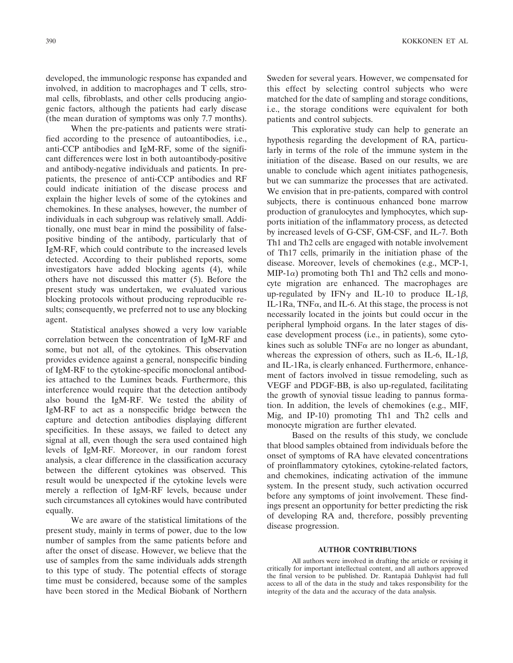developed, the immunologic response has expanded and involved, in addition to macrophages and T cells, stromal cells, fibroblasts, and other cells producing angiogenic factors, although the patients had early disease (the mean duration of symptoms was only 7.7 months).

When the pre-patients and patients were stratified according to the presence of autoantibodies, i.e., anti-CCP antibodies and IgM-RF, some of the significant differences were lost in both autoantibody-positive and antibody-negative individuals and patients. In prepatients, the presence of anti-CCP antibodies and RF could indicate initiation of the disease process and explain the higher levels of some of the cytokines and chemokines. In these analyses, however, the number of individuals in each subgroup was relatively small. Additionally, one must bear in mind the possibility of falsepositive binding of the antibody, particularly that of IgM-RF, which could contribute to the increased levels detected. According to their published reports, some investigators have added blocking agents (4), while others have not discussed this matter (5). Before the present study was undertaken, we evaluated various blocking protocols without producing reproducible results; consequently, we preferred not to use any blocking agent.

Statistical analyses showed a very low variable correlation between the concentration of IgM-RF and some, but not all, of the cytokines. This observation provides evidence against a general, nonspecific binding of IgM-RF to the cytokine-specific monoclonal antibodies attached to the Luminex beads. Furthermore, this interference would require that the detection antibody also bound the IgM-RF. We tested the ability of IgM-RF to act as a nonspecific bridge between the capture and detection antibodies displaying different specificities. In these assays, we failed to detect any signal at all, even though the sera used contained high levels of IgM-RF. Moreover, in our random forest analysis, a clear difference in the classification accuracy between the different cytokines was observed. This result would be unexpected if the cytokine levels were merely a reflection of IgM-RF levels, because under such circumstances all cytokines would have contributed equally.

We are aware of the statistical limitations of the present study, mainly in terms of power, due to the low number of samples from the same patients before and after the onset of disease. However, we believe that the use of samples from the same individuals adds strength to this type of study. The potential effects of storage time must be considered, because some of the samples have been stored in the Medical Biobank of Northern Sweden for several years. However, we compensated for this effect by selecting control subjects who were matched for the date of sampling and storage conditions, i.e., the storage conditions were equivalent for both patients and control subjects.

This explorative study can help to generate an hypothesis regarding the development of RA, particularly in terms of the role of the immune system in the initiation of the disease. Based on our results, we are unable to conclude which agent initiates pathogenesis, but we can summarize the processes that are activated. We envision that in pre-patients, compared with control subjects, there is continuous enhanced bone marrow production of granulocytes and lymphocytes, which supports initiation of the inflammatory process, as detected by increased levels of G-CSF, GM-CSF, and IL-7. Both Th1 and Th2 cells are engaged with notable involvement of Th17 cells, primarily in the initiation phase of the disease. Moreover, levels of chemokines (e.g., MCP-1,  $MIP-1\alpha$ ) promoting both Th1 and Th2 cells and monocyte migration are enhanced. The macrophages are up-regulated by IFN $\gamma$  and IL-10 to produce IL-1 $\beta$ , IL-1Ra,  $TNF\alpha$ , and IL-6. At this stage, the process is not necessarily located in the joints but could occur in the peripheral lymphoid organs. In the later stages of disease development process (i.e., in patients), some cytokines such as soluble  $TNF\alpha$  are no longer as abundant, whereas the expression of others, such as IL-6, IL-1 $\beta$ , and IL-1Ra, is clearly enhanced. Furthermore, enhancement of factors involved in tissue remodeling, such as VEGF and PDGF-BB, is also up-regulated, facilitating the growth of synovial tissue leading to pannus formation. In addition, the levels of chemokines (e.g., MIF, Mig, and IP-10) promoting Th1 and Th2 cells and monocyte migration are further elevated.

Based on the results of this study, we conclude that blood samples obtained from individuals before the onset of symptoms of RA have elevated concentrations of proinflammatory cytokines, cytokine-related factors, and chemokines, indicating activation of the immune system. In the present study, such activation occurred before any symptoms of joint involvement. These findings present an opportunity for better predicting the risk of developing RA and, therefore, possibly preventing disease progression.

#### **AUTHOR CONTRIBUTIONS**

All authors were involved in drafting the article or revising it critically for important intellectual content, and all authors approved the final version to be published. Dr. Rantapää Dahlqvist had full access to all of the data in the study and takes responsibility for the integrity of the data and the accuracy of the data analysis.